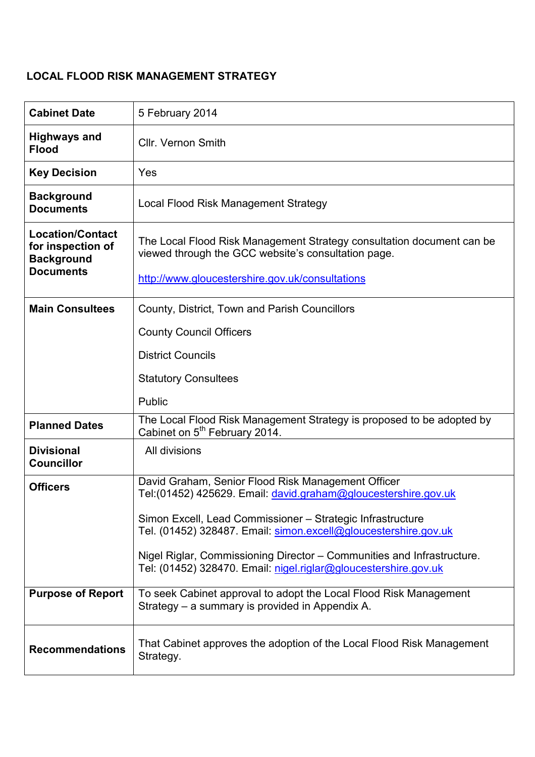# LOCAL FLOOD RISK MANAGEMENT STRATEGY

| <b>Cabinet Date</b>                                                                   | 5 February 2014                                                                                                                                                                                                                                                            |
|---------------------------------------------------------------------------------------|----------------------------------------------------------------------------------------------------------------------------------------------------------------------------------------------------------------------------------------------------------------------------|
| <b>Highways and</b><br><b>Flood</b>                                                   | <b>Cllr. Vernon Smith</b>                                                                                                                                                                                                                                                  |
| <b>Key Decision</b>                                                                   | Yes                                                                                                                                                                                                                                                                        |
| <b>Background</b><br><b>Documents</b>                                                 | Local Flood Risk Management Strategy                                                                                                                                                                                                                                       |
| <b>Location/Contact</b><br>for inspection of<br><b>Background</b><br><b>Documents</b> | The Local Flood Risk Management Strategy consultation document can be<br>viewed through the GCC website's consultation page.<br>http://www.gloucestershire.gov.uk/consultations                                                                                            |
| <b>Main Consultees</b>                                                                | County, District, Town and Parish Councillors                                                                                                                                                                                                                              |
|                                                                                       | <b>County Council Officers</b>                                                                                                                                                                                                                                             |
|                                                                                       | <b>District Councils</b>                                                                                                                                                                                                                                                   |
|                                                                                       | <b>Statutory Consultees</b>                                                                                                                                                                                                                                                |
|                                                                                       | Public                                                                                                                                                                                                                                                                     |
| <b>Planned Dates</b>                                                                  | The Local Flood Risk Management Strategy is proposed to be adopted by<br>Cabinet on 5 <sup>th</sup> February 2014.                                                                                                                                                         |
| <b>Divisional</b><br><b>Councillor</b>                                                | All divisions                                                                                                                                                                                                                                                              |
| <b>Officers</b>                                                                       | David Graham, Senior Flood Risk Management Officer<br>Tel: (01452) 425629. Email: david.graham@gloucestershire.gov.uk                                                                                                                                                      |
|                                                                                       | Simon Excell, Lead Commissioner - Strategic Infrastructure<br>Tel. (01452) 328487. Email: simon.excell@gloucestershire.gov.uk<br>Nigel Riglar, Commissioning Director - Communities and Infrastructure.<br>Tel: (01452) 328470. Email: nigel.riglar@gloucestershire.gov.uk |
|                                                                                       |                                                                                                                                                                                                                                                                            |
| <b>Purpose of Report</b>                                                              | To seek Cabinet approval to adopt the Local Flood Risk Management<br>Strategy – a summary is provided in Appendix A.                                                                                                                                                       |
| <b>Recommendations</b>                                                                | That Cabinet approves the adoption of the Local Flood Risk Management<br>Strategy.                                                                                                                                                                                         |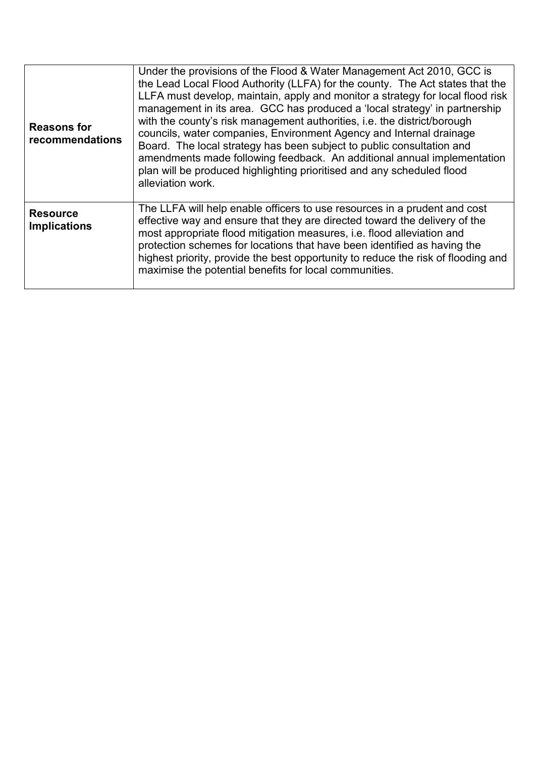| <b>Reasons for</b><br>recommendations  | Under the provisions of the Flood & Water Management Act 2010, GCC is<br>the Lead Local Flood Authority (LLFA) for the county. The Act states that the<br>LLFA must develop, maintain, apply and monitor a strategy for local flood risk<br>management in its area. GCC has produced a 'local strategy' in partnership<br>with the county's risk management authorities, i.e. the district/borough<br>councils, water companies, Environment Agency and Internal drainage<br>Board. The local strategy has been subject to public consultation and<br>amendments made following feedback. An additional annual implementation<br>plan will be produced highlighting prioritised and any scheduled flood<br>alleviation work. |
|----------------------------------------|------------------------------------------------------------------------------------------------------------------------------------------------------------------------------------------------------------------------------------------------------------------------------------------------------------------------------------------------------------------------------------------------------------------------------------------------------------------------------------------------------------------------------------------------------------------------------------------------------------------------------------------------------------------------------------------------------------------------------|
| <b>Resource</b><br><b>Implications</b> | The LLFA will help enable officers to use resources in a prudent and cost<br>effective way and ensure that they are directed toward the delivery of the<br>most appropriate flood mitigation measures, i.e. flood alleviation and<br>protection schemes for locations that have been identified as having the<br>highest priority, provide the best opportunity to reduce the risk of flooding and<br>maximise the potential benefits for local communities.                                                                                                                                                                                                                                                                 |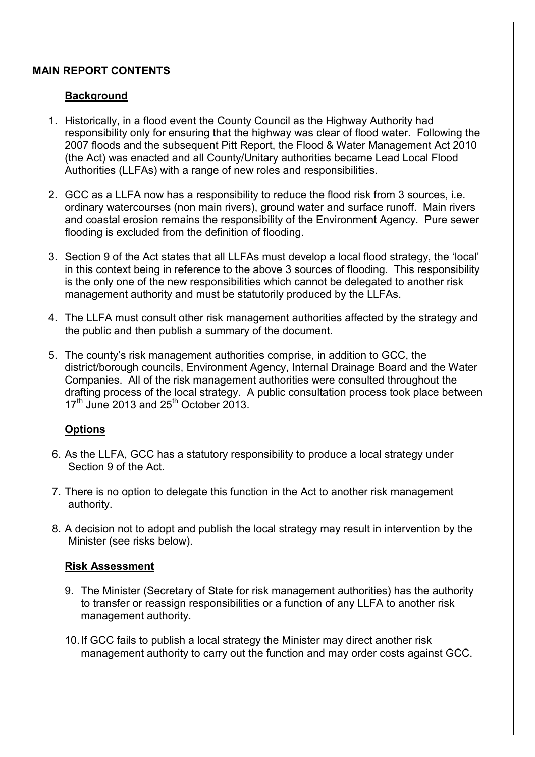## MAIN REPORT CONTENTS

## **Background**

- 1. Historically, in a flood event the County Council as the Highway Authority had responsibility only for ensuring that the highway was clear of flood water. Following the 2007 floods and the subsequent Pitt Report, the Flood & Water Management Act 2010 (the Act) was enacted and all County/Unitary authorities became Lead Local Flood Authorities (LLFAs) with a range of new roles and responsibilities.
- 2. GCC as a LLFA now has a responsibility to reduce the flood risk from 3 sources, i.e. ordinary watercourses (non main rivers), ground water and surface runoff. Main rivers and coastal erosion remains the responsibility of the Environment Agency. Pure sewer flooding is excluded from the definition of flooding.
- 3. Section 9 of the Act states that all LLFAs must develop a local flood strategy, the 'local' in this context being in reference to the above 3 sources of flooding. This responsibility is the only one of the new responsibilities which cannot be delegated to another risk management authority and must be statutorily produced by the LLFAs.
- 4. The LLFA must consult other risk management authorities affected by the strategy and the public and then publish a summary of the document.
- 5. The county's risk management authorities comprise, in addition to GCC, the district/borough councils, Environment Agency, Internal Drainage Board and the Water Companies. All of the risk management authorities were consulted throughout the drafting process of the local strategy. A public consultation process took place between  $17<sup>th</sup>$  June 2013 and 25<sup>th</sup> October 2013.

## **Options**

- 6. As the LLFA, GCC has a statutory responsibility to produce a local strategy under Section 9 of the Act.
- 7. There is no option to delegate this function in the Act to another risk management authority.
- 8. A decision not to adopt and publish the local strategy may result in intervention by the Minister (see risks below).

## Risk Assessment

- 9. The Minister (Secretary of State for risk management authorities) has the authority to transfer or reassign responsibilities or a function of any LLFA to another risk management authority.
- 10. If GCC fails to publish a local strategy the Minister may direct another risk management authority to carry out the function and may order costs against GCC.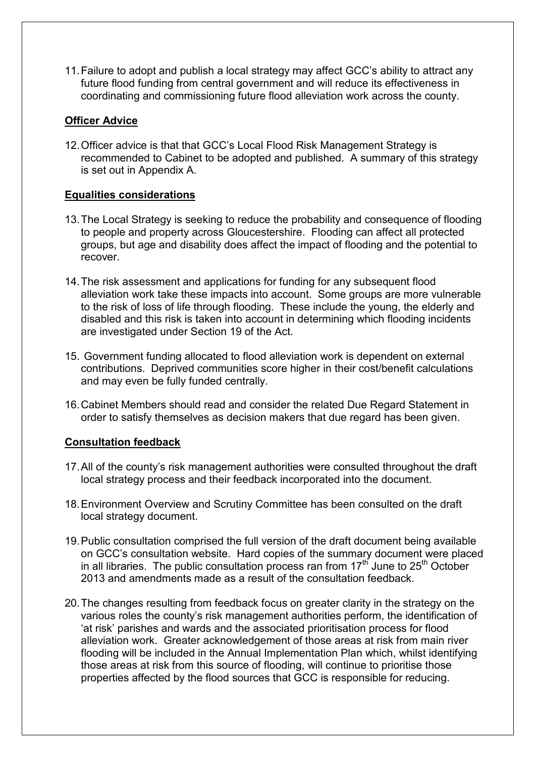11. Failure to adopt and publish a local strategy may affect GCC's ability to attract any future flood funding from central government and will reduce its effectiveness in coordinating and commissioning future flood alleviation work across the county.

## Officer Advice

12. Officer advice is that that GCC's Local Flood Risk Management Strategy is recommended to Cabinet to be adopted and published. A summary of this strategy is set out in Appendix A.

## Equalities considerations

- 13. The Local Strategy is seeking to reduce the probability and consequence of flooding to people and property across Gloucestershire. Flooding can affect all protected groups, but age and disability does affect the impact of flooding and the potential to recover.
- 14. The risk assessment and applications for funding for any subsequent flood alleviation work take these impacts into account. Some groups are more vulnerable to the risk of loss of life through flooding. These include the young, the elderly and disabled and this risk is taken into account in determining which flooding incidents are investigated under Section 19 of the Act.
- 15. Government funding allocated to flood alleviation work is dependent on external contributions. Deprived communities score higher in their cost/benefit calculations and may even be fully funded centrally.
- 16. Cabinet Members should read and consider the related Due Regard Statement in order to satisfy themselves as decision makers that due regard has been given.

### Consultation feedback

- 17. All of the county's risk management authorities were consulted throughout the draft local strategy process and their feedback incorporated into the document.
- 18. Environment Overview and Scrutiny Committee has been consulted on the draft local strategy document.
- 19. Public consultation comprised the full version of the draft document being available on GCC's consultation website. Hard copies of the summary document were placed in all libraries. The public consultation process ran from  $17<sup>th</sup>$  June to  $25<sup>th</sup>$  October 2013 and amendments made as a result of the consultation feedback.
- 20. The changes resulting from feedback focus on greater clarity in the strategy on the various roles the county's risk management authorities perform, the identification of 'at risk' parishes and wards and the associated prioritisation process for flood alleviation work. Greater acknowledgement of those areas at risk from main river flooding will be included in the Annual Implementation Plan which, whilst identifying those areas at risk from this source of flooding, will continue to prioritise those properties affected by the flood sources that GCC is responsible for reducing.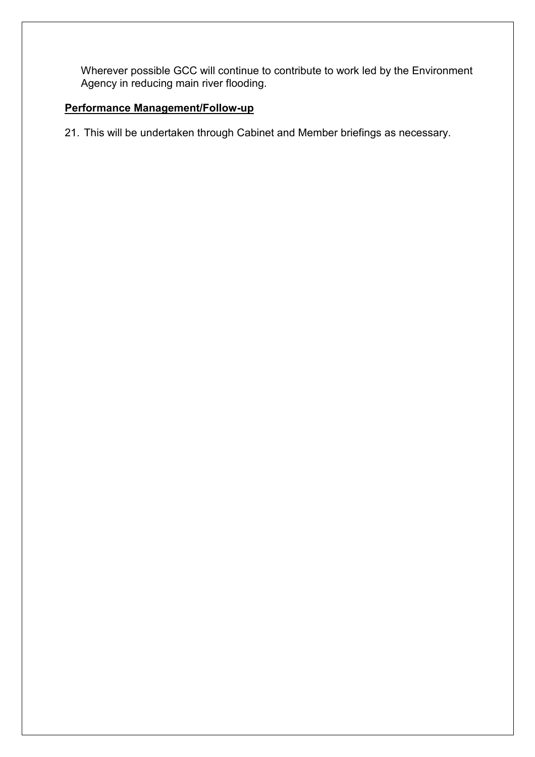Wherever possible GCC will continue to contribute to work led by the Environment Agency in reducing main river flooding.

## Performance Management/Follow-up

21. This will be undertaken through Cabinet and Member briefings as necessary.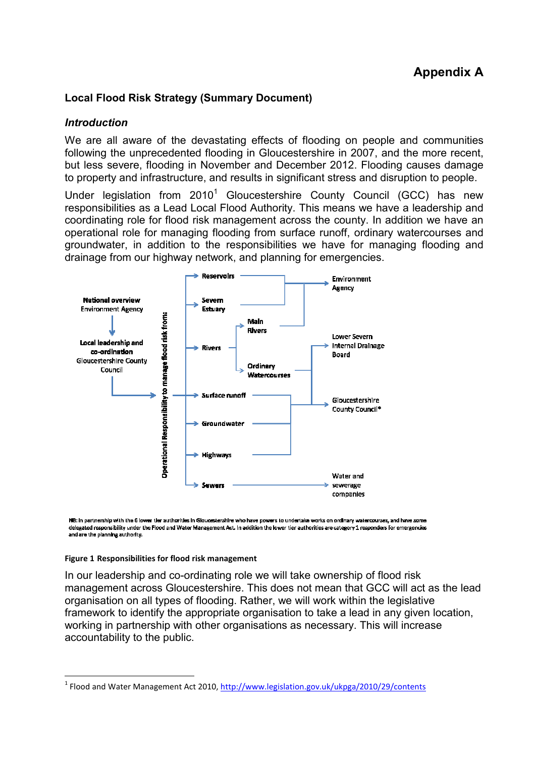# Appendix A

## Local Flood Risk Strategy (Summary Document)

### **Introduction**

We are all aware of the devastating effects of flooding on people and communities following the unprecedented flooding in Gloucestershire in 2007, and the more recent, but less severe, flooding in November and December 2012. Flooding causes damage to property and infrastructure, and results in significant stress and disruption to people.

Under legislation from  $2010<sup>1</sup>$  Gloucestershire County Council (GCC) has new responsibilities as a Lead Local Flood Authority. This means we have a leadership and coordinating role for flood risk management across the county. In addition we have an operational role for managing flooding from surface runoff, ordinary watercourses and groundwater, in addition to the responsibilities we have for managing flooding and drainage from our highway network, and planning for emergencies.



NB: in partnership with the 6 lower tier authorities in Gloucestershire who have powers to undertake works on ordinary watercourses, and have some delegated responsibility under the Flood and Water Management Act. In addition the lower tier authorities are category 1 responders for emergencies and are the planning authority.

#### Figure 1 Responsibilities for flood risk management

 $\overline{a}$ 

In our leadership and co-ordinating role we will take ownership of flood risk management across Gloucestershire. This does not mean that GCC will act as the lead organisation on all types of flooding. Rather, we will work within the legislative framework to identify the appropriate organisation to take a lead in any given location, working in partnership with other organisations as necessary. This will increase accountability to the public.

<sup>&</sup>lt;sup>1</sup> Flood and Water Management Act 2010, http://www.legislation.gov.uk/ukpga/2010/29/contents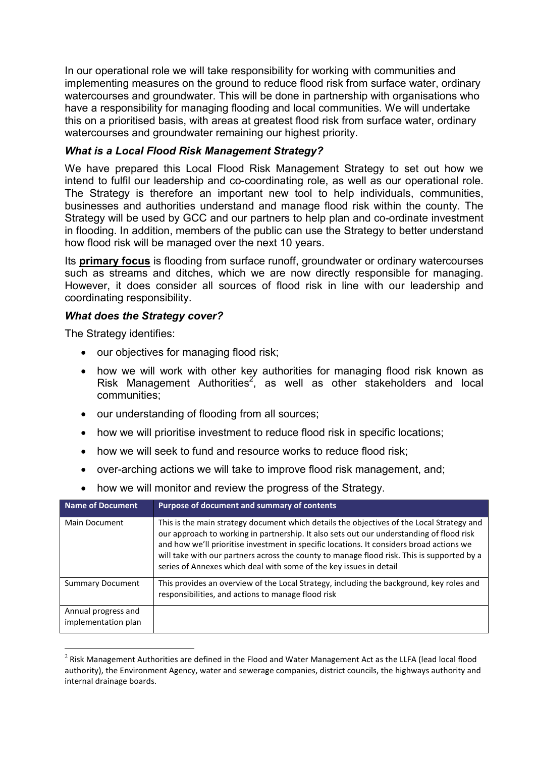In our operational role we will take responsibility for working with communities and implementing measures on the ground to reduce flood risk from surface water, ordinary watercourses and groundwater. This will be done in partnership with organisations who have a responsibility for managing flooding and local communities. We will undertake this on a prioritised basis, with areas at greatest flood risk from surface water, ordinary watercourses and groundwater remaining our highest priority.

## What is a Local Flood Risk Management Strategy?

We have prepared this Local Flood Risk Management Strategy to set out how we intend to fulfil our leadership and co-coordinating role, as well as our operational role. The Strategy is therefore an important new tool to help individuals, communities, businesses and authorities understand and manage flood risk within the county. The Strategy will be used by GCC and our partners to help plan and co-ordinate investment in flooding. In addition, members of the public can use the Strategy to better understand how flood risk will be managed over the next 10 years.

Its **primary focus** is flooding from surface runoff, groundwater or ordinary watercourses such as streams and ditches, which we are now directly responsible for managing. However, it does consider all sources of flood risk in line with our leadership and coordinating responsibility.

## What does the Strategy cover?

The Strategy identifies:

- our objectives for managing flood risk;
- how we will work with other key authorities for managing flood risk known as Risk Management Authorities<sup>2</sup>, as well as other stakeholders and local communities;
- our understanding of flooding from all sources;
- how we will prioritise investment to reduce flood risk in specific locations;
- how we will seek to fund and resource works to reduce flood risk:
- over-arching actions we will take to improve flood risk management, and;

| Name of Document                           | Purpose of document and summary of contents                                                                                                                                                                                                                                                                                                                                                                                                           |
|--------------------------------------------|-------------------------------------------------------------------------------------------------------------------------------------------------------------------------------------------------------------------------------------------------------------------------------------------------------------------------------------------------------------------------------------------------------------------------------------------------------|
| Main Document                              | This is the main strategy document which details the objectives of the Local Strategy and<br>our approach to working in partnership. It also sets out our understanding of flood risk<br>and how we'll prioritise investment in specific locations. It considers broad actions we<br>will take with our partners across the county to manage flood risk. This is supported by a<br>series of Annexes which deal with some of the key issues in detail |
| <b>Summary Document</b>                    | This provides an overview of the Local Strategy, including the background, key roles and<br>responsibilities, and actions to manage flood risk                                                                                                                                                                                                                                                                                                        |
| Annual progress and<br>implementation plan |                                                                                                                                                                                                                                                                                                                                                                                                                                                       |

• how we will monitor and review the progress of the Strategy.

 $\overline{a}$ <sup>2</sup> Risk Management Authorities are defined in the Flood and Water Management Act as the LLFA (lead local flood authority), the Environment Agency, water and sewerage companies, district councils, the highways authority and internal drainage boards.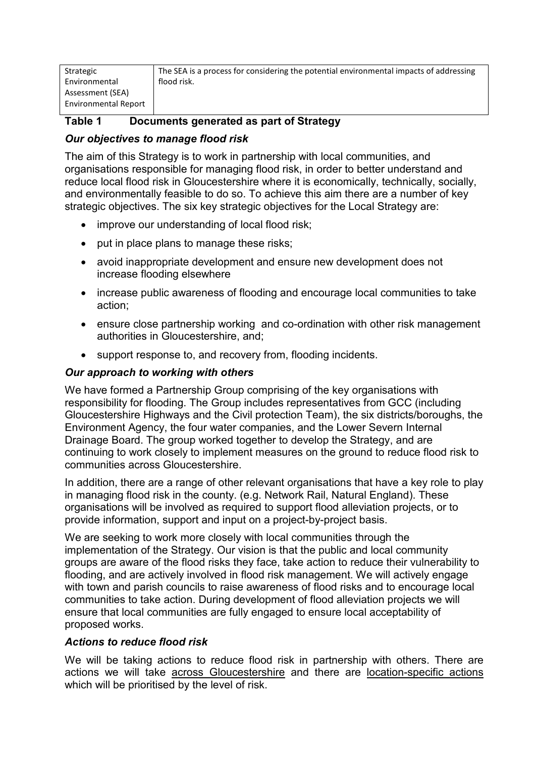| Strategic                   | The SEA is a process for considering the potential environmental impacts of addressing |
|-----------------------------|----------------------------------------------------------------------------------------|
| Environmental               | flood risk.                                                                            |
| Assessment (SEA)            |                                                                                        |
| <b>Environmental Report</b> |                                                                                        |
|                             |                                                                                        |

## Table 1 Documents generated as part of Strategy

## Our objectives to manage flood risk

The aim of this Strategy is to work in partnership with local communities, and organisations responsible for managing flood risk, in order to better understand and reduce local flood risk in Gloucestershire where it is economically, technically, socially, and environmentally feasible to do so. To achieve this aim there are a number of key strategic objectives. The six key strategic objectives for the Local Strategy are:

- improve our understanding of local flood risk;
- put in place plans to manage these risks;
- avoid inappropriate development and ensure new development does not increase flooding elsewhere
- increase public awareness of flooding and encourage local communities to take action;
- ensure close partnership working and co-ordination with other risk management authorities in Gloucestershire, and;
- support response to, and recovery from, flooding incidents.

## Our approach to working with others

We have formed a Partnership Group comprising of the key organisations with responsibility for flooding. The Group includes representatives from GCC (including Gloucestershire Highways and the Civil protection Team), the six districts/boroughs, the Environment Agency, the four water companies, and the Lower Severn Internal Drainage Board. The group worked together to develop the Strategy, and are continuing to work closely to implement measures on the ground to reduce flood risk to communities across Gloucestershire.

In addition, there are a range of other relevant organisations that have a key role to play in managing flood risk in the county. (e.g. Network Rail, Natural England). These organisations will be involved as required to support flood alleviation projects, or to provide information, support and input on a project-by-project basis.

We are seeking to work more closely with local communities through the implementation of the Strategy. Our vision is that the public and local community groups are aware of the flood risks they face, take action to reduce their vulnerability to flooding, and are actively involved in flood risk management. We will actively engage with town and parish councils to raise awareness of flood risks and to encourage local communities to take action. During development of flood alleviation projects we will ensure that local communities are fully engaged to ensure local acceptability of proposed works.

## Actions to reduce flood risk

We will be taking actions to reduce flood risk in partnership with others. There are actions we will take across Gloucestershire and there are location-specific actions which will be prioritised by the level of risk.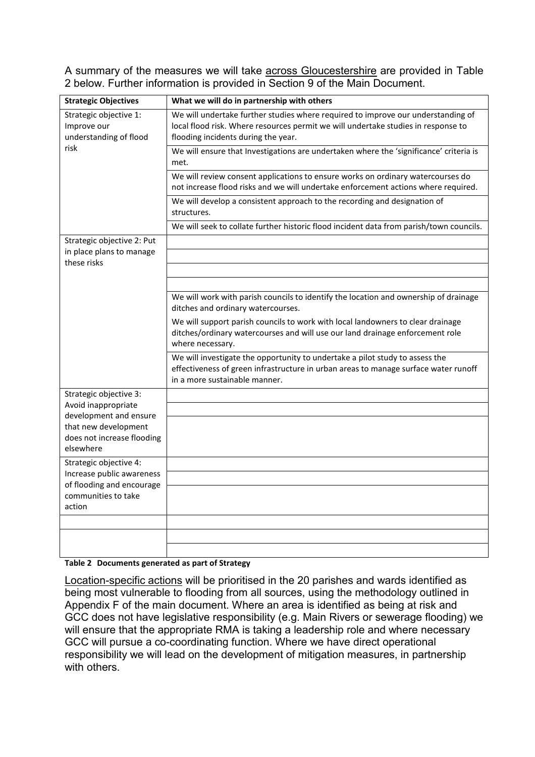A summary of the measures we will take across Gloucestershire are provided in Table 2 below. Further information is provided in Section 9 of the Main Document.

| <b>Strategic Objectives</b>                                     | What we will do in partnership with others                                                                                                                                                                   |
|-----------------------------------------------------------------|--------------------------------------------------------------------------------------------------------------------------------------------------------------------------------------------------------------|
| Strategic objective 1:<br>Improve our<br>understanding of flood | We will undertake further studies where required to improve our understanding of<br>local flood risk. Where resources permit we will undertake studies in response to<br>flooding incidents during the year. |
| risk                                                            | We will ensure that Investigations are undertaken where the 'significance' criteria is<br>met.                                                                                                               |
|                                                                 | We will review consent applications to ensure works on ordinary watercourses do<br>not increase flood risks and we will undertake enforcement actions where required.                                        |
|                                                                 | We will develop a consistent approach to the recording and designation of<br>structures.                                                                                                                     |
|                                                                 | We will seek to collate further historic flood incident data from parish/town councils.                                                                                                                      |
| Strategic objective 2: Put<br>in place plans to manage          |                                                                                                                                                                                                              |
| these risks                                                     |                                                                                                                                                                                                              |
|                                                                 |                                                                                                                                                                                                              |
|                                                                 | We will work with parish councils to identify the location and ownership of drainage<br>ditches and ordinary watercourses.                                                                                   |
|                                                                 | We will support parish councils to work with local landowners to clear drainage<br>ditches/ordinary watercourses and will use our land drainage enforcement role<br>where necessary.                         |
|                                                                 | We will investigate the opportunity to undertake a pilot study to assess the<br>effectiveness of green infrastructure in urban areas to manage surface water runoff<br>in a more sustainable manner.         |
| Strategic objective 3:                                          |                                                                                                                                                                                                              |
| Avoid inappropriate<br>development and ensure                   |                                                                                                                                                                                                              |
| that new development<br>does not increase flooding              |                                                                                                                                                                                                              |
| elsewhere                                                       |                                                                                                                                                                                                              |
| Strategic objective 4:<br>Increase public awareness             |                                                                                                                                                                                                              |
| of flooding and encourage                                       |                                                                                                                                                                                                              |
| communities to take<br>action                                   |                                                                                                                                                                                                              |
|                                                                 |                                                                                                                                                                                                              |
|                                                                 |                                                                                                                                                                                                              |
|                                                                 |                                                                                                                                                                                                              |

#### Table 2 Documents generated as part of Strategy

Location-specific actions will be prioritised in the 20 parishes and wards identified as being most vulnerable to flooding from all sources, using the methodology outlined in Appendix F of the main document. Where an area is identified as being at risk and GCC does not have legislative responsibility (e.g. Main Rivers or sewerage flooding) we will ensure that the appropriate RMA is taking a leadership role and where necessary GCC will pursue a co-coordinating function. Where we have direct operational responsibility we will lead on the development of mitigation measures, in partnership with others.